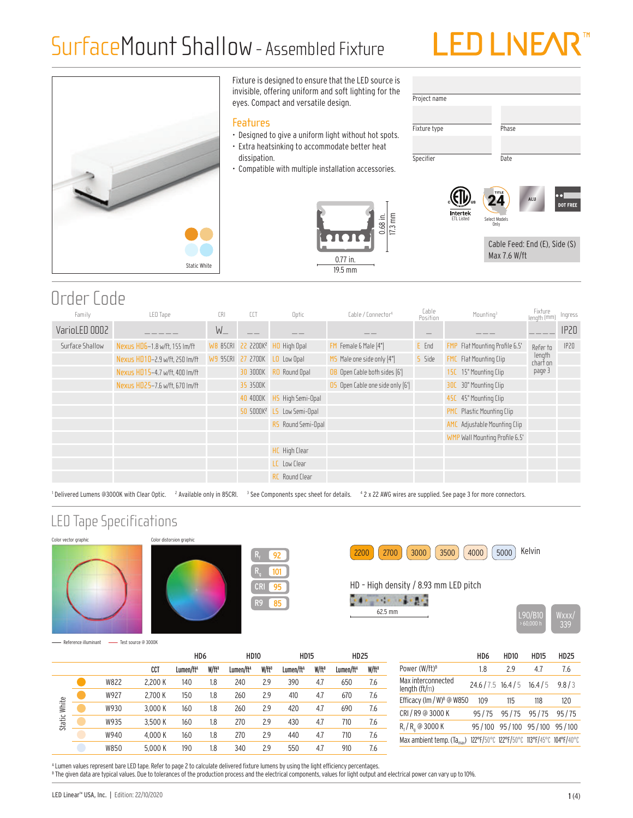## SurfaceMount Shallow- Assembled Fixture

# **LED LINE/**



Fixture is designed to ensure that the LED source is invisible, offering uniform and soft lighting for the eyes. Compact and versatile design.

#### Features

- Designed to give a uniform light without hot spots.
- Extra heatsinking to accommodate better heat dissipation.
- Compatible with multiple installation accessories.





Cable Feed: End (E), Side (S) Max 7.6 W/ft

### Order Code

| Family          | LED Tape                       | CRI     | CCT      | Optic                                             | Cable / Connector <sup>4</sup>  | Cable<br>Position | Mounting <sup>3</sup>               | Fixture<br>length (mm | Ingress          |
|-----------------|--------------------------------|---------|----------|---------------------------------------------------|---------------------------------|-------------------|-------------------------------------|-----------------------|------------------|
| VarioLED 0002   |                                | $W_{-}$ |          |                                                   |                                 |                   |                                     |                       | IP <sub>20</sub> |
| Surface Shallow | Nexus HD6-1.8 w/ft. 155 Im/ft  |         |          | <b>W8 85CRI 22 2200K<sup>2</sup> HO High Opal</b> | FM Female & Male [4"]           | E End             | FMP Flat Mounting Profile 6.5'      | Refer to              | IP20             |
|                 | Nexus HD10-2.9 w/ft, 250 lm/ft |         |          | W9 95CRI 27 2700K LO Low Opal                     | $MS$ Male one side only $[4"]$  | 5 Side            | FMC Flat Mounting Clip              | length<br>chart on    |                  |
|                 | Nexus HD15-4.7 w/ft, 400 lm/ft |         |          | 30 3000K RO Round Opal                            | OB Open Cable both sides [6']   |                   | 15C 15° Mounting Clip               | page 3                |                  |
|                 | Nexus HD25-7.6 w/ft. 670 Im/ft |         | 35 3500K |                                                   | 05 Open Cable one side only [6] |                   | 30C 30° Mounting Clip               |                       |                  |
|                 |                                |         | 40 4000K | HS High Semi-Opal                                 |                                 |                   | 45C 45° Mounting Clip               |                       |                  |
|                 |                                |         |          | 50 5000K <sup>2</sup> LS Low Semi-Opal            |                                 |                   | Plastic Mounting Clip<br><b>PMC</b> |                       |                  |
|                 |                                |         |          | RS Round Semi-Opal                                |                                 |                   | AMC Adjustable Mounting Clip        |                       |                  |
|                 |                                |         |          |                                                   |                                 |                   | WMP Wall Mounting Profile 6.5'      |                       |                  |
|                 |                                |         |          | <b>HC</b> High Clear                              |                                 |                   |                                     |                       |                  |
|                 |                                |         |          | LC Low Clear                                      |                                 |                   |                                     |                       |                  |
|                 |                                |         |          | <b>RC</b> Round Clear                             |                                 |                   |                                     |                       |                  |
|                 |                                |         |          |                                                   |                                 |                   |                                     |                       |                  |

Delivered Lumens @3000K with Clear Optic. 2 Available only in 85CRI. 3 See Components spec sheet for details. 42 x 22 AWG wires are supplied. See page 3 for more connectors.

95 85

92 101

#### LED Tape Specifications









HD – High density / 8.93 mm LED pitch

 $\label{eq:1} \mathcal{L}(\mathbf{z}) = \mathbf{z} - \mathbf{z} - \mathbf{z} - \mathbf{z} - \mathbf{z} = \mathbf{z}$ 62.5 mm L90/B10 Wxxx/



Reference illuminant - Test source @ 3000K

|              |             |         | HD <sub>6</sub>       |                   | <b>HD10</b>           |                   | <b>HD15</b>           |          | <b>HD25</b>           |                   |
|--------------|-------------|---------|-----------------------|-------------------|-----------------------|-------------------|-----------------------|----------|-----------------------|-------------------|
|              |             | CCT     | Lumen/ft <sup>A</sup> | W/ft <sup>B</sup> | Lumen/ft <sup>A</sup> | W/ft <sup>B</sup> | Lumen/ft <sup>A</sup> | $W/ft^B$ | Lumen/ft <sup>A</sup> | W/ft <sup>B</sup> |
|              | W822        | 2.200 K | 140                   | 1.8               | 240                   | 2.9               | 390                   | 4.7      | 650                   | 7.6               |
| Static White | W927        | 2.700 K | 150                   | 1.8               | 260                   | 2.9               | 410                   | 4.7      | 670                   | 7.6               |
|              | W930        | 3.000 K | 160                   | 1.8               | 260                   | 2.9               | 420                   | 4.7      | 690                   | 7.6               |
|              | W935        | 3.500 K | 160                   | 1.8               | 270                   | 2.9               | 430                   | 4.7      | 710                   | 7.6               |
|              | W940        | 4.000 K | 160                   | 1.8               | 270                   | 2.9               | 440                   | 4.7      | 710                   | 7.6               |
|              | <b>W850</b> | 5.000 K | 190                   | 1.8               | 340                   | 2.9               | 550                   | 4.7      | 910                   | 7.6               |

|                                                                                    | HD6               | HD <sub>10</sub>            | <b>HD15</b> | <b>HD25</b> |
|------------------------------------------------------------------------------------|-------------------|-----------------------------|-------------|-------------|
| Power (W/ft) <sup>B</sup>                                                          | 18                | 29                          | 47          | 7.6         |
| Max interconnected<br>length $(ft/m)$                                              | $24.6/7.5$ 16.4/5 |                             | 16.4/5      | 9.8/3       |
| Efficacy (lm / W) <sup>8</sup> @ W850                                              | 109               | 115                         | 118         | 120         |
| CRI / R9 @ 3000 K                                                                  |                   | 95/75 95/75 95/75           |             | 95/75       |
| $R_f/R_a$ @ 3000 K                                                                 |                   | 95/100 95/100 95/100 95/100 |             |             |
| Max ambient temp. (Ta <sub>max</sub> ) 122°F/50°C 122°F/50°C 113°F/45°C 104°F/40°C |                   |                             |             |             |

A Lumen values represent bare LED tape. Refer to page 2 to calculate delivered fixture lumens by using the light efficiency percentages.  $^{\rm 8}$  The given data are typical values. Due to tolerances of the production process and the electrical components, values for light output and electrical power can vary up to 10%.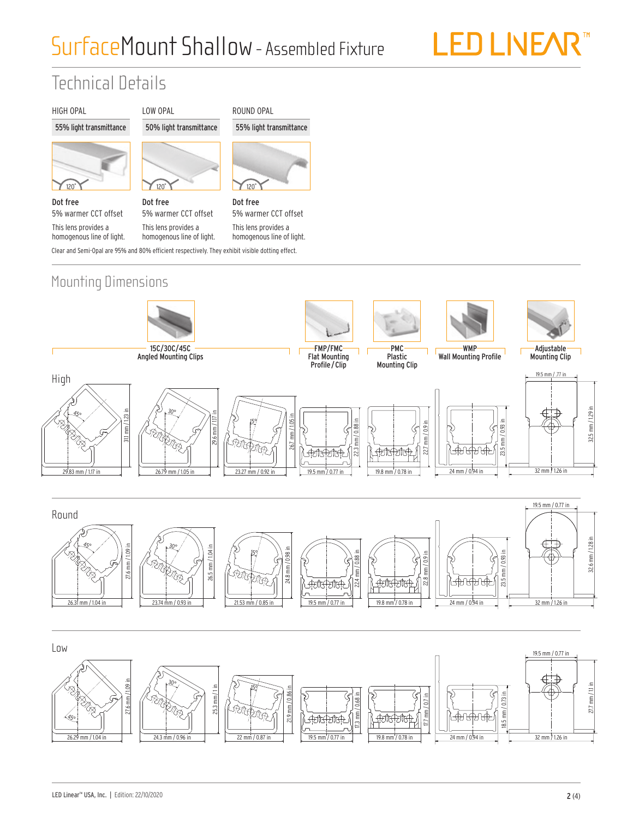## SurfaceMount Shallow- Assembled Fixture

# LED LIVEAR<sup>™</sup>

## Technical Details

#### HIGH OPAL





Dot free 5% warmer CCT offset This lens provides a

homogenous line of light.



50% light transmittance

LOW OPAL

Dot free 5% warmer CCT offset This lens provides a

homogenous line of light.

ROUND OPAL 55% light transmittance



Clear and Semi-Opal are 95% and 80% efficient respectively. They exhibit visible dotting effect. Dot free 5% warmer CCT offset This lens provides a homogenous line of light.

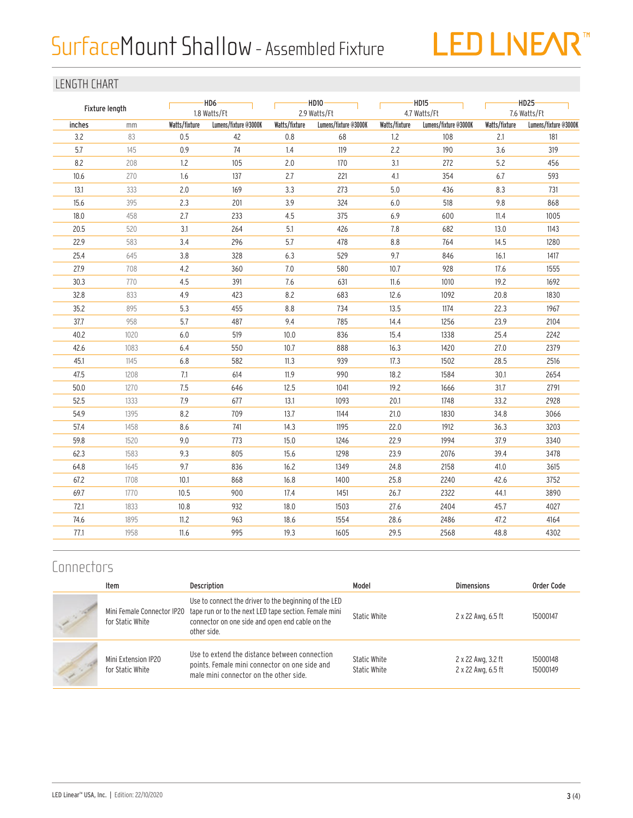# SurfaceMount Shallow - Assembled Fixture



#### LENGTH CHART

| Fixture length |      |               | $-HD6$ —<br>1.8 Watts/Ft |               | $-HD10-$<br>2.9 Watts/Ft |               | $-HD15$<br>4.7 Watts/Ft |               | $-HD25-$<br>7.6 Watts/Ft |  |
|----------------|------|---------------|--------------------------|---------------|--------------------------|---------------|-------------------------|---------------|--------------------------|--|
| inches         | mm   | Watts/fixture | Lumens/fixture @3000K    | Watts/fixture | Lumens/fixture @3000K    | Watts/fixture | Lumens/fixture @3000K   | Watts/fixture | Lumens/fixture @3000K    |  |
| 3.2            | 83   | 0.5           | 42                       | 0.8           | 68                       | 1.2           | 108                     | 2.1           | 181                      |  |
| 5.7            | 145  | $0.9\,$       | 74                       | 1.4           | 119                      | 2.2           | 190                     | 3.6           | 319                      |  |
| 8.2            | 208  | 1.2           | 105                      | 2.0           | 170                      | 3.1           | 272                     | 5.2           | 456                      |  |
| 10.6           | 270  | 1.6           | 137                      | 2.7           | 221                      | 4.1           | 354                     | 6.7           | 593                      |  |
| 13.1           | 333  | 2.0           | 169                      | 3.3           | 273                      | 5.0           | 436                     | 8.3           | 731                      |  |
| 15.6           | 395  | 2.3           | 201                      | 3.9           | 324                      | 6.0           | 518                     | 9.8           | 868                      |  |
| 18.0           | 458  | 2.7           | 233                      | 4.5           | 375                      | 6.9           | 600                     | 11.4          | 1005                     |  |
| 20.5           | 520  | 3.1           | 264                      | 5.1           | 426                      | 7.8           | 682                     | 13.0          | 1143                     |  |
| 22.9           | 583  | 3.4           | 296                      | 5.7           | 478                      | 8.8           | 764                     | 14.5          | 1280                     |  |
| 25.4           | 645  | 3.8           | 328                      | 6.3           | 529                      | 9.7           | 846                     | 16.1          | 1417                     |  |
| 27.9           | 708  | $4.2\,$       | 360                      | 7.0           | 580                      | 10.7          | 928                     | 17.6          | 1555                     |  |
| 30.3           | 770  | 4.5           | 391                      | 7.6           | 631                      | 11.6          | 1010                    | 19.2          | 1692                     |  |
| 32.8           | 833  | 4.9           | 423                      | 8.2           | 683                      | 12.6          | 1092                    | 20.8          | 1830                     |  |
| 35.2           | 895  | 5.3           | 455                      | 8.8           | 734                      | 13.5          | 1174                    | 22.3          | 1967                     |  |
| 37.7           | 958  | 5.7           | 487                      | 9.4           | 785                      | 14.4          | 1256                    | 23.9          | 2104                     |  |
| 40.2           | 1020 | 6.0           | 519                      | 10.0          | 836                      | 15.4          | 1338                    | 25.4          | 2242                     |  |
| 42.6           | 1083 | 6.4           | 550                      | 10.7          | 888                      | 16.3          | 1420                    | 27.0          | 2379                     |  |
| 45.1           | 1145 | 6.8           | 582                      | 11.3          | 939                      | 17.3          | 1502                    | 28.5          | 2516                     |  |
| 47.5           | 1208 | 7.1           | 614                      | 11.9          | 990                      | 18.2          | 1584                    | 30.1          | 2654                     |  |
| 50.0           | 1270 | 7.5           | 646                      | 12.5          | 1041                     | 19.2          | 1666                    | 31.7          | 2791                     |  |
| 52.5           | 1333 | 7.9           | 677                      | 13.1          | 1093                     | 20.1          | 1748                    | 33.2          | 2928                     |  |
| 54.9           | 1395 | 8.2           | 709                      | 13.7          | 1144                     | 21.0          | 1830                    | 34.8          | 3066                     |  |
| 57.4           | 1458 | 8.6           | 741                      | 14.3          | 1195                     | 22.0          | 1912                    | 36.3          | 3203                     |  |
| 59.8           | 1520 | 9.0           | 773                      | 15.0          | 1246                     | 22.9          | 1994                    | 37.9          | 3340                     |  |
| 62.3           | 1583 | 9.3           | 805                      | 15.6          | 1298                     | 23.9          | 2076                    | 39.4          | 3478                     |  |
| 64.8           | 1645 | 9.7           | 836                      | 16.2          | 1349                     | 24.8          | 2158                    | 41.0          | 3615                     |  |
| 67.2           | 1708 | 10.1          | 868                      | 16.8          | 1400                     | 25.8          | 2240                    | 42.6          | 3752                     |  |
| 69.7           | 1770 | 10.5          | 900                      | 17.4          | 1451                     | 26.7          | 2322                    | 44.1          | 3890                     |  |
| 72.1           | 1833 | 10.8          | 932                      | 18.0          | 1503                     | 27.6          | 2404                    | 45.7          | 4027                     |  |
| 74.6           | 1895 | 11.2          | 963                      | 18.6          | 1554                     | 28.6          | 2486                    | 47.2          | 4164                     |  |
| 77.1           | 1958 | 11.6          | 995                      | 19.3          | 1605                     | 29.5          | 2568                    | 48.8          | 4302                     |  |
|                |      |               |                          |               |                          |               |                         |               |                          |  |

### **Connectors**

| Item                                           | Description                                                                                                                                                                      | Model                        | <b>Dimensions</b>                        | Order Code           |
|------------------------------------------------|----------------------------------------------------------------------------------------------------------------------------------------------------------------------------------|------------------------------|------------------------------------------|----------------------|
| Mini Female Connector IP20<br>for Static White | Use to connect the driver to the beginning of the LED<br>tape run or to the next LED tape section. Female mini<br>connector on one side and open end cable on the<br>other side. | Static White                 | 2 x 22 Awg, 6.5 ft                       | 15000147             |
| Mini Extension IP20<br>for Static White        | Use to extend the distance between connection<br>points. Female mini connector on one side and<br>male mini connector on the other side.                                         | Static White<br>Static White | 2 x 22 Awg, 3.2 ft<br>2 x 22 Awg, 6.5 ft | 15000148<br>15000149 |